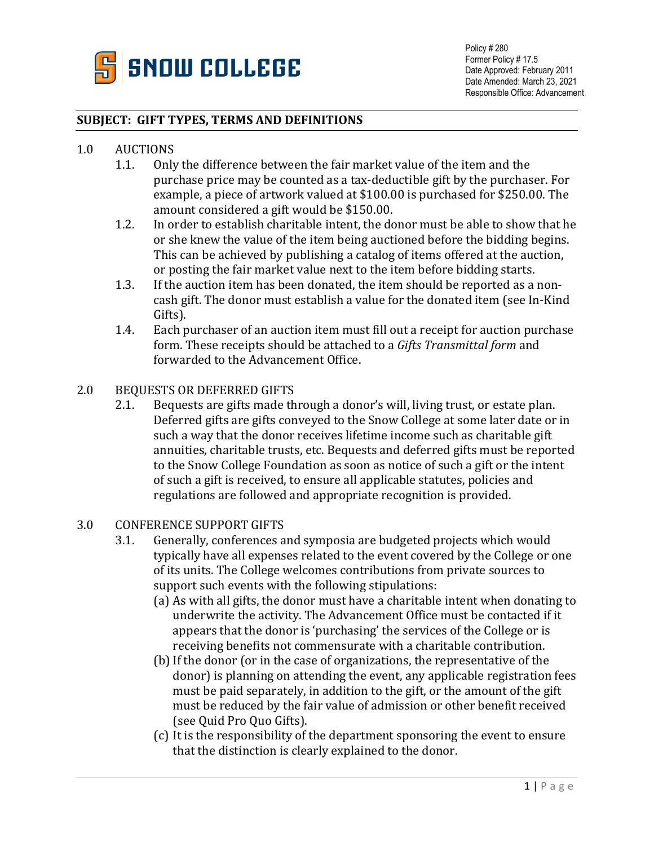

#### **SUBJECT: GIFT TYPES, TERMS AND DEFINITIONS**

# 1.0 AUCTIONS<br>1.1. Only

- 1.1. Only the difference between the fair market value of the item and the purchase price may be counted as a tax-deductible gift by the purchaser. For example, a piece of artwork valued at \$100.00 is purchased for \$250.00. The amount considered a gift would be \$150.00.
- 1.2. In order to establish charitable intent, the donor must be able to show that he or she knew the value of the item being auctioned before the bidding begins. This can be achieved by publishing a catalog of items offered at the auction, or posting the fair market value next to the item before bidding starts.
- 1.3. If the auction item has been donated, the item should be reported as a noncash gift. The donor must establish a value for the donated item (see In-Kind Gifts).
- 1.4. Each purchaser of an auction item must fill out a receipt for auction purchase form. These receipts should be attached to a *Gifts Transmittal form* and forwarded to the Advancement Office.

# 2.0 BEQUESTS OR DEFERRED GIFTS<br>2.1. Bequests are gifts made th

Bequests are gifts made through a donor's will, living trust, or estate plan. Deferred gifts are gifts conveyed to the Snow College at some later date or in such a way that the donor receives lifetime income such as charitable gift annuities, charitable trusts, etc. Bequests and deferred gifts must be reported to the Snow College Foundation as soon as notice of such a gift or the intent of such a gift is received, to ensure all applicable statutes, policies and regulations are followed and appropriate recognition is provided.

# 3.0 CONFERENCE SUPPORT GIFTS<br>3.1. Generally, conferences a

- Generally, conferences and symposia are budgeted projects which would typically have all expenses related to the event covered by the College or one of its units. The College welcomes contributions from private sources to support such events with the following stipulations:
	- (a) As with all gifts, the donor must have a charitable intent when donating to underwrite the activity. The Advancement Office must be contacted if it appears that the donor is 'purchasing' the services of the College or is receiving benefits not commensurate with a charitable contribution.
	- (b)If the donor (or in the case of organizations, the representative of the donor) is planning on attending the event, any applicable registration fees must be paid separately, in addition to the gift, or the amount of the gift must be reduced by the fair value of admission or other benefit received (see Quid Pro Quo Gifts).
	- (c) It is the responsibility of the department sponsoring the event to ensure that the distinction is clearly explained to the donor.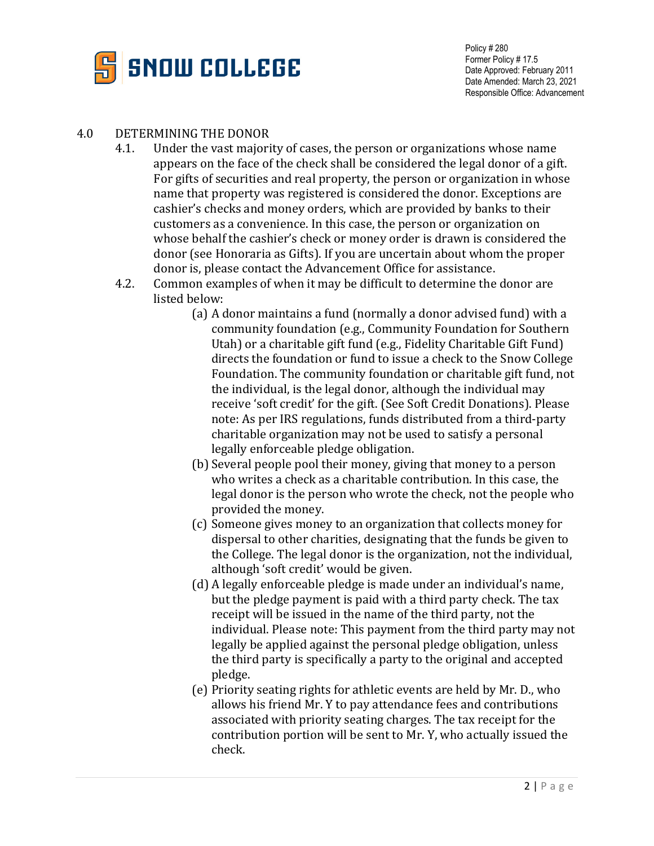

# 4.0 DETERMINING THE DONOR<br>4.1. Under the vast maiori

- Under the vast majority of cases, the person or organizations whose name appears on the face of the check shall be considered the legal donor of a gift. For gifts of securities and real property, the person or organization in whose name that property was registered is considered the donor. Exceptions are cashier's checks and money orders, which are provided by banks to their customers as a convenience. In this case, the person or organization on whose behalf the cashier's check or money order is drawn is considered the donor (see Honoraria as Gifts). If you are uncertain about whom the proper donor is, please contact the Advancement Office for assistance.
- 4.2. Common examples of when it may be difficult to determine the donor are listed below:
	- (a) A donor maintains a fund (normally a donor advised fund) with a community foundation (e.g., Community Foundation for Southern Utah) or a charitable gift fund (e.g., Fidelity Charitable Gift Fund) directs the foundation or fund to issue a check to the Snow College Foundation. The community foundation or charitable gift fund, not the individual, is the legal donor, although the individual may receive 'soft credit' for the gift. (See Soft Credit Donations). Please note: As per IRS regulations, funds distributed from a third-party charitable organization may not be used to satisfy a personal legally enforceable pledge obligation.
	- (b) Several people pool their money, giving that money to a person who writes a check as a charitable contribution. In this case, the legal donor is the person who wrote the check, not the people who provided the money.
	- (c) Someone gives money to an organization that collects money for dispersal to other charities, designating that the funds be given to the College. The legal donor is the organization, not the individual, although 'soft credit' would be given.
	- (d) A legally enforceable pledge is made under an individual's name, but the pledge payment is paid with a third party check. The tax receipt will be issued in the name of the third party, not the individual. Please note: This payment from the third party may not legally be applied against the personal pledge obligation, unless the third party is specifically a party to the original and accepted pledge.
	- (e) Priority seating rights for athletic events are held by Mr. D., who allows his friend Mr. Y to pay attendance fees and contributions associated with priority seating charges. The tax receipt for the contribution portion will be sent to Mr. Y, who actually issued the check.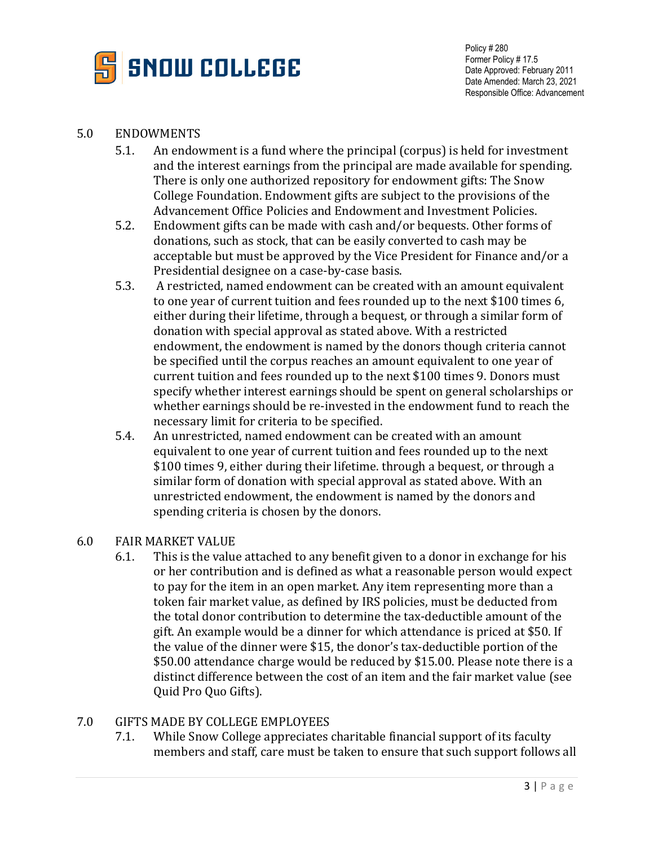

#### 5.0 ENDOWMENTS

- 5.1. An endowment is a fund where the principal (corpus) is held for investment and the interest earnings from the principal are made available for spending. There is only one authorized repository for endowment gifts: The Snow College Foundation. Endowment gifts are subject to the provisions of the Advancement Office Policies and Endowment and Investment Policies.
- 5.2. Endowment gifts can be made with cash and/or bequests. Other forms of donations, such as stock, that can be easily converted to cash may be acceptable but must be approved by the Vice President for Finance and/or a Presidential designee on a case-by-case basis.
- 5.3. A restricted, named endowment can be created with an amount equivalent to one year of current tuition and fees rounded up to the next \$100 times 6, either during their lifetime, through a bequest, or through a similar form of donation with special approval as stated above. With a restricted endowment, the endowment is named by the donors though criteria cannot be specified until the corpus reaches an amount equivalent to one year of current tuition and fees rounded up to the next \$100 times 9. Donors must specify whether interest earnings should be spent on general scholarships or whether earnings should be re-invested in the endowment fund to reach the necessary limit for criteria to be specified.
- 5.4. An unrestricted, named endowment can be created with an amount equivalent to one year of current tuition and fees rounded up to the next \$100 times 9, either during their lifetime. through a bequest, or through a similar form of donation with special approval as stated above. With an unrestricted endowment, the endowment is named by the donors and spending criteria is chosen by the donors.

# 6.0 FAIR MARKET VALUE<br>6.1. This is the value

This is the value attached to any benefit given to a donor in exchange for his or her contribution and is defined as what a reasonable person would expect to pay for the item in an open market. Any item representing more than a token fair market value, as defined by IRS policies, must be deducted from the total donor contribution to determine the tax-deductible amount of the gift. An example would be a dinner for which attendance is priced at \$50. If the value of the dinner were \$15, the donor's tax-deductible portion of the \$50.00 attendance charge would be reduced by \$15.00. Please note there is a distinct difference between the cost of an item and the fair market value (see Quid Pro Quo Gifts).

# 7.0 GIFTS MADE BY COLLEGE EMPLOYEES<br>7.1. While Snow College appreciates

While Snow College appreciates charitable financial support of its faculty members and staff, care must be taken to ensure that such support follows all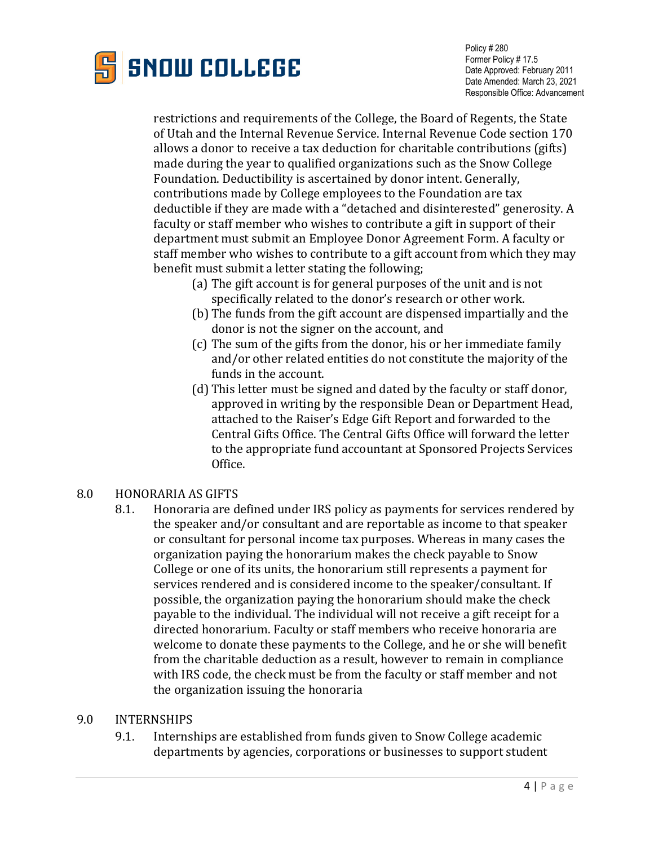

restrictions and requirements of the College, the Board of Regents, the State of Utah and the Internal Revenue Service. Internal Revenue Code section 170 allows a donor to receive a tax deduction for charitable contributions (gifts) made during the year to qualified organizations such as the Snow College Foundation. Deductibility is ascertained by donor intent. Generally, contributions made by College employees to the Foundation are tax deductible if they are made with a "detached and disinterested" generosity. A faculty or staff member who wishes to contribute a gift in support of their department must submit an Employee Donor Agreement Form. A faculty or staff member who wishes to contribute to a gift account from which they may benefit must submit a letter stating the following;

- (a) The gift account is for general purposes of the unit and is not specifically related to the donor's research or other work.
- (b) The funds from the gift account are dispensed impartially and the donor is not the signer on the account, and
- (c) The sum of the gifts from the donor, his or her immediate family and/or other related entities do not constitute the majority of the funds in the account.
- (d) This letter must be signed and dated by the faculty or staff donor, approved in writing by the responsible Dean or Department Head, attached to the Raiser's Edge Gift Report and forwarded to the Central Gifts Office. The Central Gifts Office will forward the letter to the appropriate fund accountant at Sponsored Projects Services Office.

# 8.0 HONORARIA AS GIFTS<br>8.1. Honoraria are d

8.1. Honoraria are defined under IRS policy as payments for services rendered by the speaker and/or consultant and are reportable as income to that speaker or consultant for personal income tax purposes. Whereas in many cases the organization paying the honorarium makes the check payable to Snow College or one of its units, the honorarium still represents a payment for services rendered and is considered income to the speaker/consultant. If possible, the organization paying the honorarium should make the check payable to the individual. The individual will not receive a gift receipt for a directed honorarium. Faculty or staff members who receive honoraria are welcome to donate these payments to the College, and he or she will benefit from the charitable deduction as a result, however to remain in compliance with IRS code, the check must be from the faculty or staff member and not the organization issuing the honoraria

### 9.0 INTERNSHIPS

9.1. Internships are established from funds given to Snow College academic departments by agencies, corporations or businesses to support student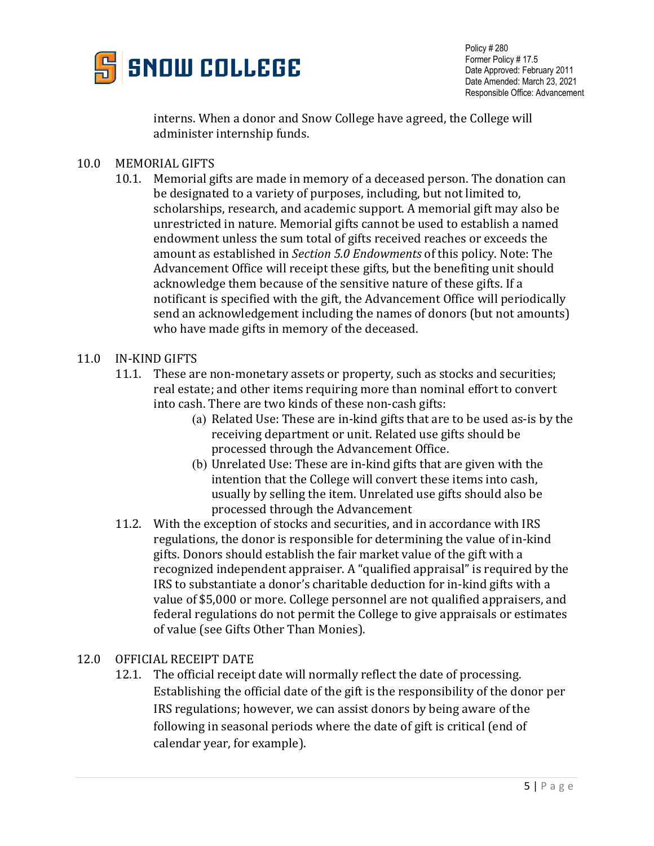

interns. When a donor and Snow College have agreed, the College will administer internship funds.

- 10.0 MEMORIAL GIFTS
	- 10.1. Memorial gifts are made in memory of a deceased person. The donation can be designated to a variety of purposes, including, but not limited to, scholarships, research, and academic support. A memorial gift may also be unrestricted in nature. Memorial gifts cannot be used to establish a named endowment unless the sum total of gifts received reaches or exceeds the amount as established in *Section 5.0 Endowments* of this policy. Note: The Advancement Office will receipt these gifts, but the benefiting unit should acknowledge them because of the sensitive nature of these gifts. If a notificant is specified with the gift, the Advancement Office will periodically send an acknowledgement including the names of donors (but not amounts) who have made gifts in memory of the deceased.

#### 11.0 IN-KIND GIFTS

- 11.1. These are non-monetary assets or property, such as stocks and securities; real estate; and other items requiring more than nominal effort to convert into cash. There are two kinds of these non-cash gifts:
	- (a) Related Use: These are in-kind gifts that are to be used as-is by the receiving department or unit. Related use gifts should be processed through the Advancement Office.
	- (b) Unrelated Use: These are in-kind gifts that are given with the intention that the College will convert these items into cash, usually by selling the item. Unrelated use gifts should also be processed through the Advancement
- 11.2. With the exception of stocks and securities, and in accordance with IRS regulations, the donor is responsible for determining the value of in-kind gifts. Donors should establish the fair market value of the gift with a recognized independent appraiser. A "qualified appraisal" is required by the IRS to substantiate a donor's charitable deduction for in-kind gifts with a value of \$5,000 or more. College personnel are not qualified appraisers, and federal regulations do not permit the College to give appraisals or estimates of value (see Gifts Other Than Monies).
- 12.0 OFFICIAL RECEIPT DATE
	- 12.1. The official receipt date will normally reflect the date of processing. Establishing the official date of the gift is the responsibility of the donor per IRS regulations; however, we can assist donors by being aware of the following in seasonal periods where the date of gift is critical (end of calendar year, for example).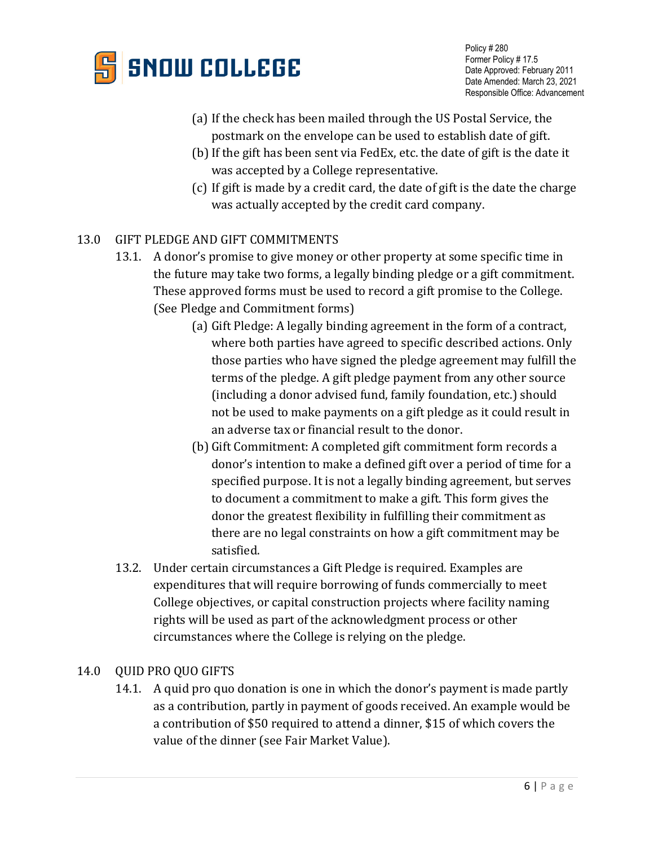

- (a) If the check has been mailed through the US Postal Service, the
- postmark on the envelope can be used to establish date of gift. (b)If the gift has been sent via FedEx, etc. the date of gift is the date it was accepted by a College representative.
- (c) If gift is made by a credit card, the date of gift is the date the charge was actually accepted by the credit card company.

## 13.0 GIFT PLEDGE AND GIFT COMMITMENTS

- 13.1. A donor's promise to give money or other property at some specific time in the future may take two forms, a legally binding pledge or a gift commitment. These approved forms must be used to record a gift promise to the College. (See Pledge and Commitment forms)
	- (a) Gift Pledge: A legally binding agreement in the form of a contract, where both parties have agreed to specific described actions. Only those parties who have signed the pledge agreement may fulfill the terms of the pledge. A gift pledge payment from any other source (including a donor advised fund, family foundation, etc.) should not be used to make payments on a gift pledge as it could result in an adverse tax or financial result to the donor.
	- (b) Gift Commitment: A completed gift commitment form records a donor's intention to make a defined gift over a period of time for a specified purpose. It is not a legally binding agreement, but serves to document a commitment to make a gift. This form gives the donor the greatest flexibility in fulfilling their commitment as there are no legal constraints on how a gift commitment may be satisfied.
- 13.2. Under certain circumstances a Gift Pledge is required. Examples are expenditures that will require borrowing of funds commercially to meet College objectives, or capital construction projects where facility naming rights will be used as part of the acknowledgment process or other circumstances where the College is relying on the pledge.

### 14.0 OUID PRO OUO GIFTS

14.1. A quid pro quo donation is one in which the donor's payment is made partly as a contribution, partly in payment of goods received. An example would be a contribution of \$50 required to attend a dinner, \$15 of which covers the value of the dinner (see Fair Market Value).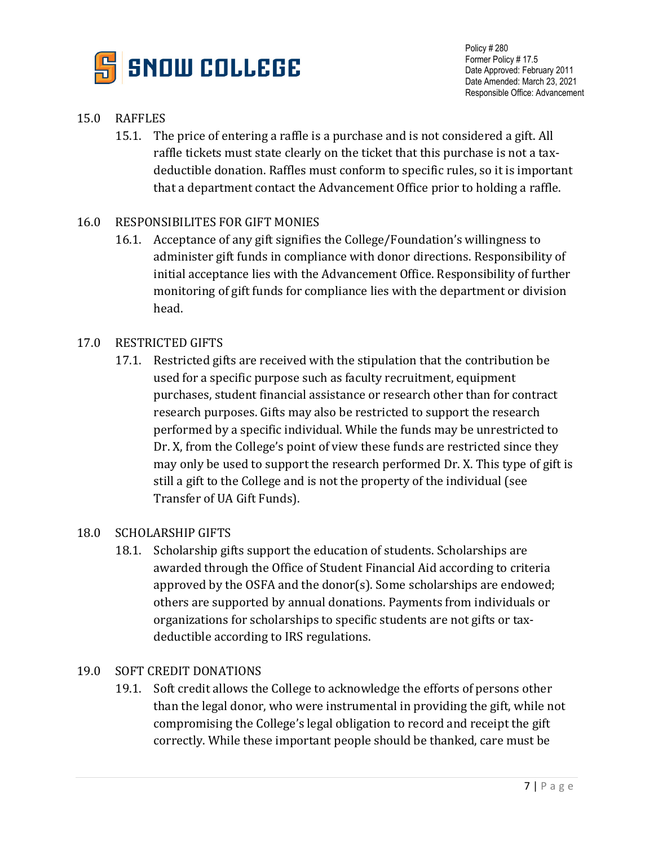

## 15.0 RAFFLES

15.1. The price of entering a raffle is a purchase and is not considered a gift. All raffle tickets must state clearly on the ticket that this purchase is not a taxdeductible donation. Raffles must conform to specific rules, so it is important that a department contact the Advancement Office prior to holding a raffle.

### 16.0 RESPONSIBILITES FOR GIFT MONIES

16.1. Acceptance of any gift signifies the College/Foundation's willingness to administer gift funds in compliance with donor directions. Responsibility of initial acceptance lies with the Advancement Office. Responsibility of further monitoring of gift funds for compliance lies with the department or division head.

### 17.0 RESTRICTED GIFTS

17.1. Restricted gifts are received with the stipulation that the contribution be used for a specific purpose such as faculty recruitment, equipment purchases, student financial assistance or research other than for contract research purposes. Gifts may also be restricted to support the research performed by a specific individual. While the funds may be unrestricted to Dr. X, from the College's point of view these funds are restricted since they may only be used to support the research performed Dr. X. This type of gift is still a gift to the College and is not the property of the individual (see Transfer of UA Gift Funds).

#### 18.0 SCHOLARSHIP GIFTS

18.1. Scholarship gifts support the education of students. Scholarships are awarded through the Office of Student Financial Aid according to criteria approved by the OSFA and the donor(s). Some scholarships are endowed; others are supported by annual donations. Payments from individuals or organizations for scholarships to specific students are not gifts or taxdeductible according to IRS regulations.

#### 19.0 SOFT CREDIT DONATIONS

19.1. Soft credit allows the College to acknowledge the efforts of persons other than the legal donor, who were instrumental in providing the gift, while not compromising the College's legal obligation to record and receipt the gift correctly. While these important people should be thanked, care must be